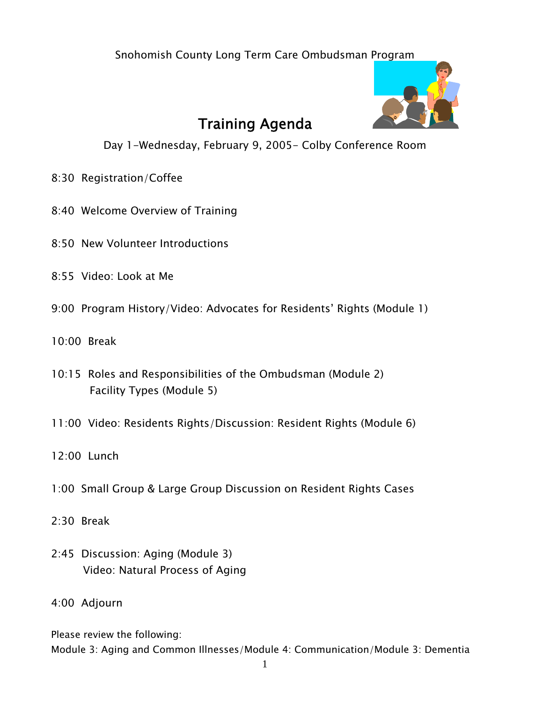Snohomish County Long Term Care Ombudsman Program



# Training Agenda

Day 1-Wednesday, February 9, 2005- Colby Conference Room

- 8:30 Registration/Coffee
- 8:40 Welcome Overview of Training
- 8:50 New Volunteer Introductions
- 8:55 Video: Look at Me
- 9:00 Program History/Video: Advocates for Residents' Rights (Module 1)
- 10:00 Break
- 10:15 Roles and Responsibilities of the Ombudsman (Module 2) Facility Types (Module 5)
- 11:00 Video: Residents Rights/Discussion: Resident Rights (Module 6)
- 12:00 Lunch
- 1:00 Small Group & Large Group Discussion on Resident Rights Cases
- 2:30 Break
- 2:45 Discussion: Aging (Module 3) Video: Natural Process of Aging

#### 4:00 Adjourn

Please review the following:

Module 3: Aging and Common Illnesses/Module 4: Communication/Module 3: Dementia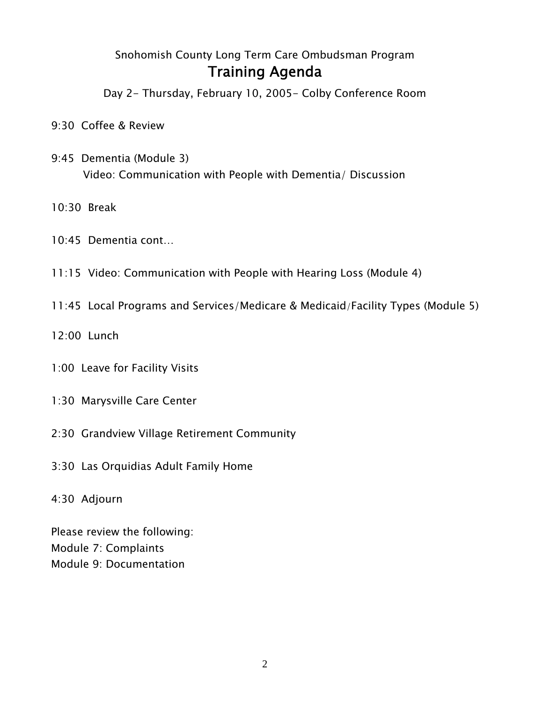### Snohomish County Long Term Care Ombudsman Program Training Agenda

Day 2- Thursday, February 10, 2005- Colby Conference Room

- 9:30 Coffee & Review
- 9:45 Dementia (Module 3) Video: Communication with People with Dementia/ Discussion
- 10:30 Break
- 10:45 Dementia cont…
- 11:15 Video: Communication with People with Hearing Loss (Module 4)
- 11:45 Local Programs and Services/Medicare & Medicaid/Facility Types (Module 5)
- 12:00 Lunch
- 1:00 Leave for Facility Visits
- 1:30 Marysville Care Center
- 2:30 Grandview Village Retirement Community
- 3:30 Las Orquidias Adult Family Home
- 4:30 Adjourn

Please review the following: Module 7: Complaints Module 9: Documentation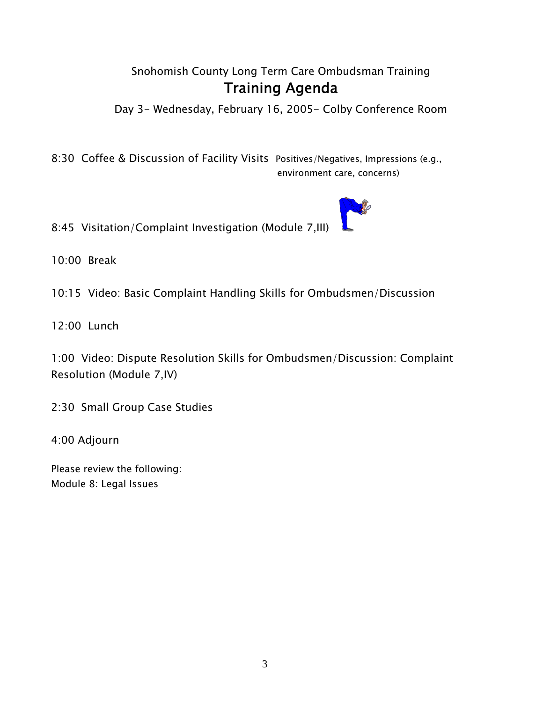#### Snohomish County Long Term Care Ombudsman Training Training Agenda

Day 3- Wednesday, February 16, 2005- Colby Conference Room

8:30 Coffee & Discussion of Facility Visits Positives/Negatives, Impressions (e.g., environment care, concerns)

8:45 Visitation/Complaint Investigation (Module 7,III)

10:00 Break

10:15 Video: Basic Complaint Handling Skills for Ombudsmen/Discussion

12:00 Lunch

1:00 Video: Dispute Resolution Skills for Ombudsmen/Discussion: Complaint Resolution (Module 7,IV)

2:30 Small Group Case Studies

4:00 Adjourn

Please review the following: Module 8: Legal Issues